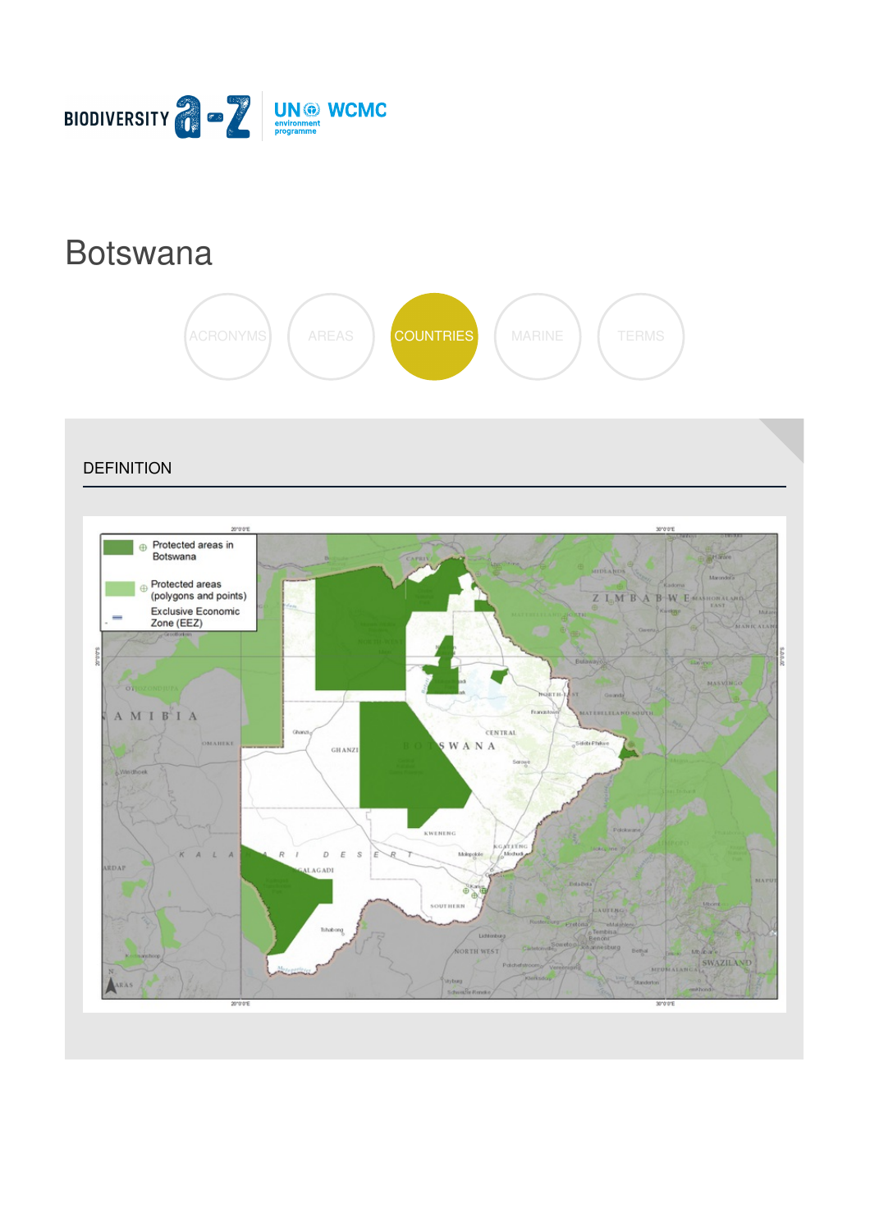

# [Botswana](https://biodiversitya-z.org/content/botswana)



**DEFINITION** 

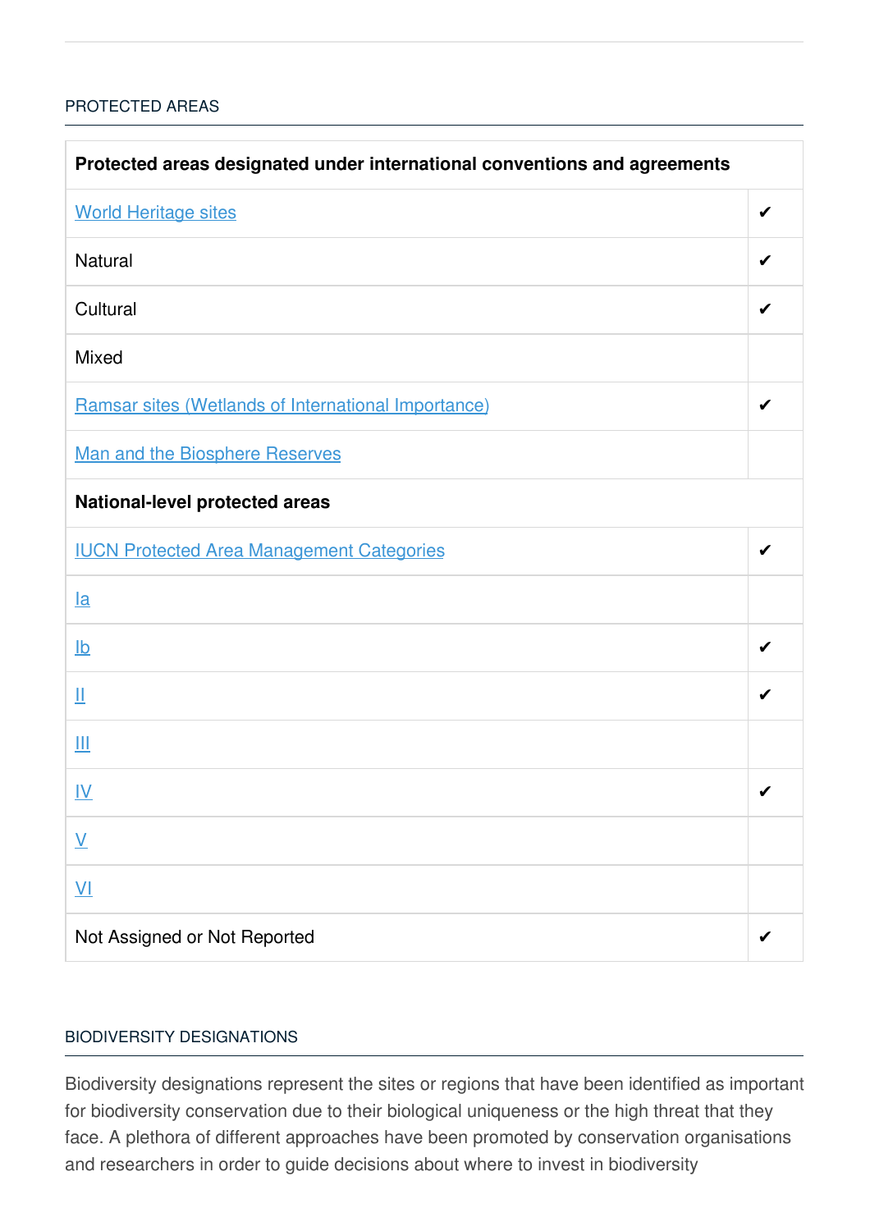# [PROTECTED](javascript:void(0)) AREAS

| Protected areas designated under international conventions and agreements |   |  |
|---------------------------------------------------------------------------|---|--|
| <b>World Heritage sites</b>                                               | ✔ |  |
| <b>Natural</b>                                                            | ✔ |  |
| Cultural                                                                  |   |  |
| <b>Mixed</b>                                                              |   |  |
| Ramsar sites (Wetlands of International Importance)                       | ✔ |  |
| Man and the Biosphere Reserves                                            |   |  |
| <b>National-level protected areas</b>                                     |   |  |
| <b>IUCN Protected Area Management Categories</b>                          | ✔ |  |
| $l$ a                                                                     |   |  |
| $\underline{\mathsf{lb}}$                                                 | ✔ |  |
| Щ                                                                         | ✔ |  |
| Ш                                                                         |   |  |
| <u>IV</u>                                                                 | ✔ |  |
| $\underline{\mathsf{V}}$                                                  |   |  |
| $\underline{\mathsf{V}}$                                                  |   |  |
| Not Assigned or Not Reported                                              |   |  |

## BIODIVERSITY [DESIGNATIONS](javascript:void(0))

Biodiversity designations represent the sites or regions that have been identified as important for biodiversity conservation due to their biological uniqueness or the high threat that they face. A plethora of different approaches have been promoted by conservation organisations and researchers in order to guide decisions about where to invest in biodiversity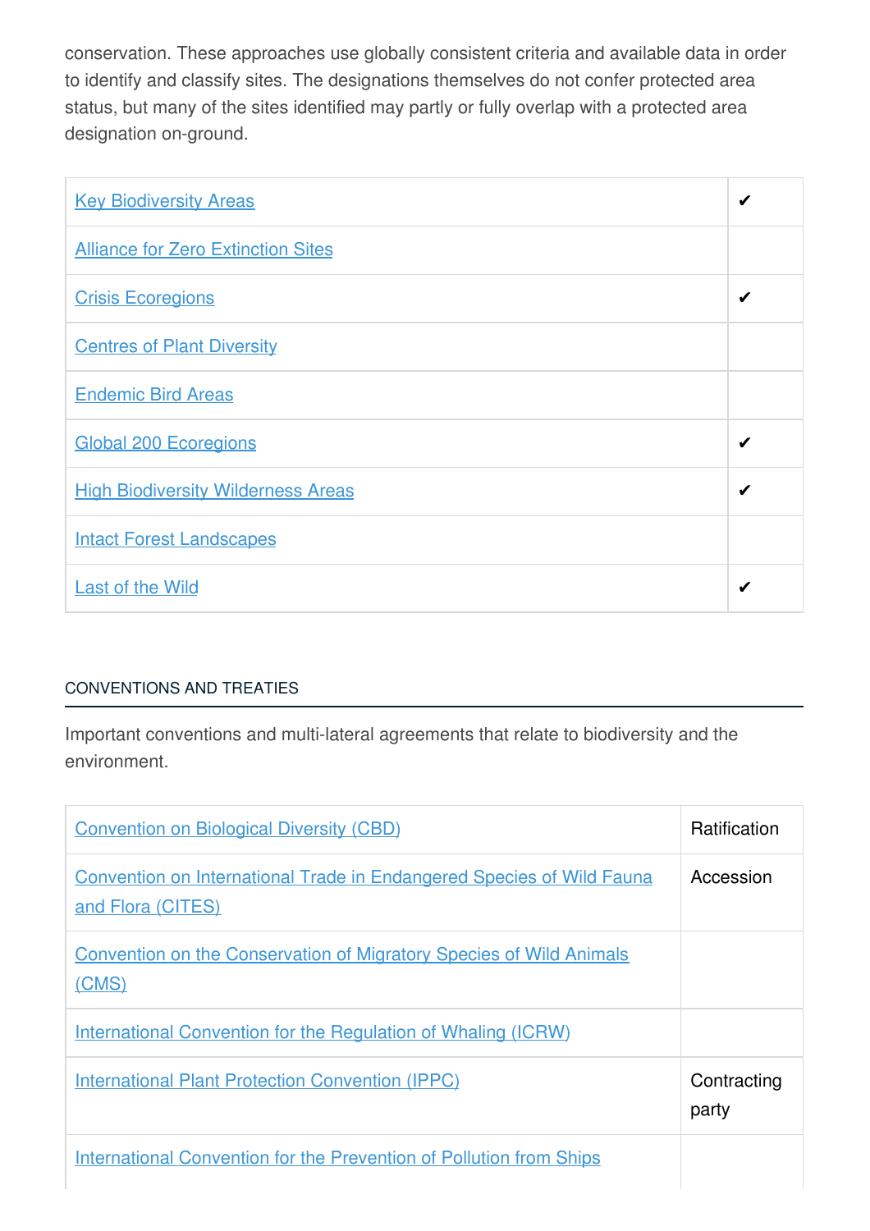conservation. These approaches use globally consistent criteria and available data in order to identify and classify sites. The designations themselves do not confer protected area status, but many of the sites identified may partly or fully overlap with a protected area designation on-ground.

| <b>Key Biodiversity Areas</b>             | ✔ |
|-------------------------------------------|---|
| <b>Alliance for Zero Extinction Sites</b> |   |
| <b>Crisis Ecoregions</b>                  | ✔ |
| <b>Centres of Plant Diversity</b>         |   |
| <b>Endemic Bird Areas</b>                 |   |
| <b>Global 200 Ecoregions</b>              | ✔ |
| <b>High Biodiversity Wilderness Areas</b> | ✔ |
| <b>Intact Forest Landscapes</b>           |   |
| <b>Last of the Wild</b>                   | ✔ |

# [CONVENTIONS](javascript:void(0)) AND TREATIES

Important conventions and multi-lateral agreements that relate to biodiversity and the environment.

| <b>Convention on Biological Diversity (CBD)</b>                                                   | <b>Ratification</b>  |
|---------------------------------------------------------------------------------------------------|----------------------|
| <b>Convention on International Trade in Endangered Species of Wild Fauna</b><br>and Flora (CITES) | Accession            |
| <b>Convention on the Conservation of Migratory Species of Wild Animals</b><br>(CMS)               |                      |
| International Convention for the Regulation of Whaling (ICRW)                                     |                      |
| <b>International Plant Protection Convention (IPPC)</b>                                           | Contracting<br>party |
| <b>International Convention for the Prevention of Pollution from Ships</b>                        |                      |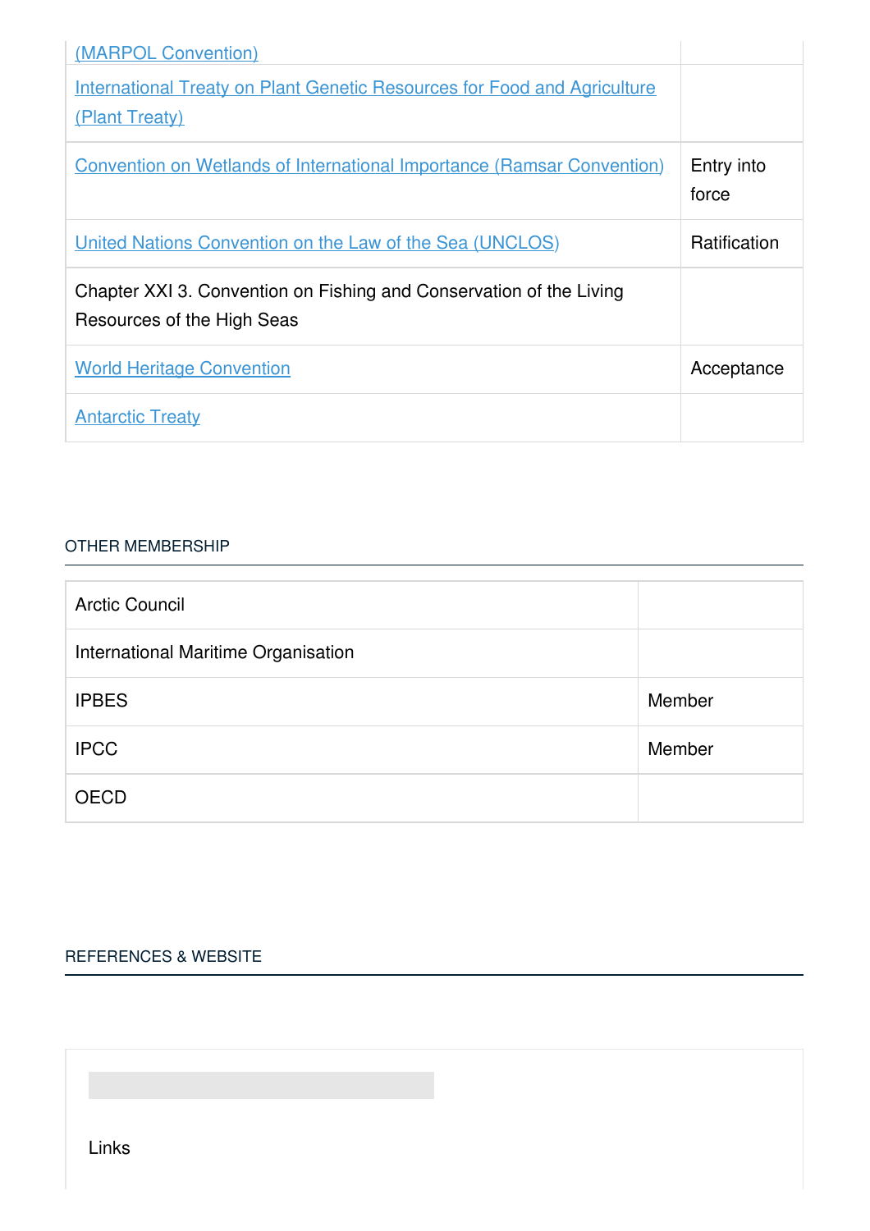| (MARPOL Convention)                                                                               |                     |
|---------------------------------------------------------------------------------------------------|---------------------|
| <b>International Treaty on Plant Genetic Resources for Food and Agriculture</b>                   |                     |
| (Plant Treaty)                                                                                    |                     |
| <b>Convention on Wetlands of International Importance (Ramsar Convention)</b>                     | Entry into<br>force |
| United Nations Convention on the Law of the Sea (UNCLOS)                                          | Ratification        |
| Chapter XXI 3. Convention on Fishing and Conservation of the Living<br>Resources of the High Seas |                     |
| <b>World Heritage Convention</b>                                                                  | Acceptance          |
| <b>Antarctic Treaty</b>                                                                           |                     |

#### OTHER [MEMBERSHIP](javascript:void(0))

| <b>Arctic Council</b>               |        |
|-------------------------------------|--------|
| International Maritime Organisation |        |
| <b>IPBES</b>                        | Member |
| <b>IPCC</b>                         | Member |
| <b>OECD</b>                         |        |

## [REFERENCES](javascript:void(0)) & WEBSITE

Links